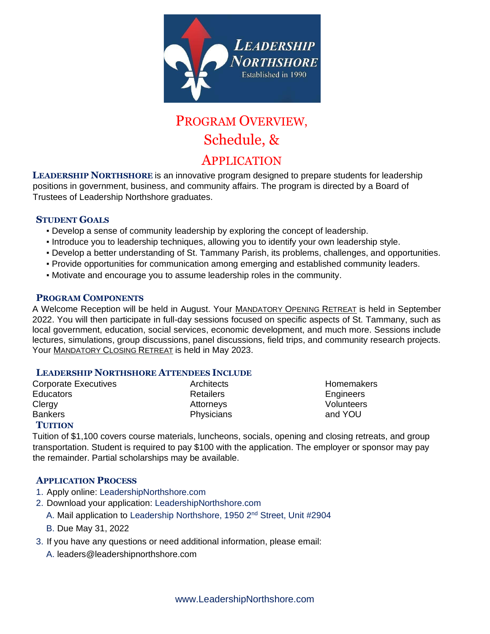

# PROGRAM OVERVIEW, Schedule, &

### APPLICATION

**LEADERSHIP NORTHSHORE** is an innovative program designed to prepare students for leadership positions in government, business, and community affairs. The program is directed by a Board of Trustees of Leadership Northshore graduates.

### **STUDENT GOALS**

- Develop a sense of community leadership by exploring the concept of leadership.
- Introduce you to leadership techniques, allowing you to identify your own leadership style.
- Develop a better understanding of St. Tammany Parish, its problems, challenges, and opportunities.
- Provide opportunities for communication among emerging and established community leaders.
- Motivate and encourage you to assume leadership roles in the community.

### **PROGRAM COMPONENTS**

A Welcome Reception will be held in August. Your MANDATORY OPENING RETREAT is held in September 2022. You will then participate in full-day sessions focused on specific aspects of St. Tammany, such as local government, education, social services, economic development, and much more. Sessions include lectures, simulations, group discussions, panel discussions, field trips, and community research projects. Your MANDATORY CLOSING RETREAT is held in May 2023.

### **LEADERSHIP NORTHSHORE ATTENDEES INCLUDE**

| <b>Corporate Executives</b> | Architects       | Homemake          |
|-----------------------------|------------------|-------------------|
| <b>Educators</b>            | <b>Retailers</b> | Engineers         |
| Clergy                      | Attorneys        | <b>Volunteers</b> |
| <b>Bankers</b>              | Physicians       | and YOU           |
|                             |                  |                   |

itects **Executives** Architects **Homemakers** ilers **Engineers** 

### **TUITION**

Tuition of \$1,100 covers course materials, luncheons, socials, opening and closing retreats, and group transportation. Student is required to pay \$100 with the application. The employer or sponsor may pay the remainder. Partial scholarships may be available.

### **APPLICATION PROCESS**

- 1. Apply online: LeadershipNorthshore.com
- 2. Download your application: LeadershipNorthshore.com
	- A. Mail application to Leadership Northshore, 1950 2<sup>nd</sup> Street, Unit #2904
	- B. Due May 31, 2022
- 3. If you have any questions or need additional information, please email:
	- A. leaders@leadershipnorthshore.com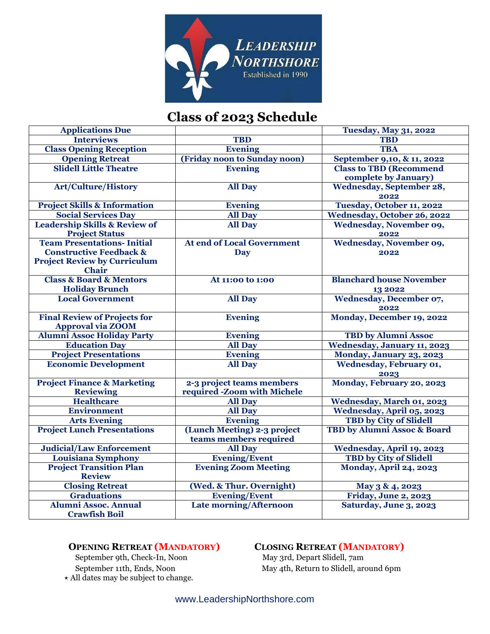

# **Class of 2023 Schedule**

| <b>Applications Due</b>                  |                                   | <b>Tuesday, May 31, 2022</b>     |
|------------------------------------------|-----------------------------------|----------------------------------|
| <b>Interviews</b>                        | <b>TBD</b>                        | <b>TBD</b>                       |
| <b>Class Opening Reception</b>           | <b>Evening</b>                    | <b>TBA</b>                       |
| <b>Opening Retreat</b>                   | (Friday noon to Sunday noon)      | September 9,10, & 11, 2022       |
| <b>Slidell Little Theatre</b>            | <b>Evening</b>                    | <b>Class to TBD (Recommend</b>   |
|                                          |                                   | complete by January)             |
| <b>Art/Culture/History</b>               | <b>All Day</b>                    | <b>Wednesday, September 28,</b>  |
|                                          |                                   | 2022                             |
| <b>Project Skills &amp; Information</b>  | <b>Evening</b>                    | Tuesday, October 11, 2022        |
| <b>Social Services Day</b>               | <b>All Day</b>                    | Wednesday, October 26, 2022      |
| <b>Leadership Skills &amp; Review of</b> | <b>All Day</b>                    | Wednesday, November 09,          |
| <b>Project Status</b>                    |                                   | 2022                             |
| <b>Team Presentations- Initial</b>       | <b>At end of Local Government</b> | <b>Wednesday, November 09,</b>   |
| <b>Constructive Feedback &amp;</b>       | <b>Day</b>                        | 2022                             |
| <b>Project Review by Curriculum</b>      |                                   |                                  |
| <b>Chair</b>                             |                                   |                                  |
| <b>Class &amp; Board &amp; Mentors</b>   | At 11:00 to 1:00                  | <b>Blanchard house November</b>  |
| <b>Holiday Brunch</b>                    |                                   | 13 20 22                         |
| <b>Local Government</b>                  | <b>All Day</b>                    | Wednesday, December 07,          |
|                                          |                                   | 2022                             |
| <b>Final Review of Projects for</b>      | <b>Evening</b>                    | Monday, December 19, 2022        |
| <b>Approval via ZOOM</b>                 |                                   |                                  |
| <b>Alumni Assoc Holiday Party</b>        | <b>Evening</b>                    | <b>TBD</b> by Alumni Assoc       |
| <b>Education Day</b>                     | <b>All Day</b>                    | Wednesday, January 11, 2023      |
| <b>Project Presentations</b>             | <b>Evening</b>                    | Monday, January 23, 2023         |
| <b>Economic Development</b>              | <b>All Day</b>                    | Wednesday, February 01,          |
|                                          |                                   | 2023                             |
| <b>Project Finance &amp; Marketing</b>   | 2-3 project teams members         | Monday, February 20, 2023        |
| <b>Reviewing</b>                         | required -Zoom with Michele       |                                  |
| <b>Healthcare</b>                        | <b>All Day</b>                    | <b>Wednesday, March 01, 2023</b> |
| <b>Environment</b>                       | <b>All Day</b>                    | Wednesday, April 05, 2023        |
| <b>Arts Evening</b>                      | Evening                           | <b>TBD by City of Slidell</b>    |
| <b>Project Lunch Presentations</b>       | (Lunch Meeting) 2-3 project       | TBD by Alumni Assoc & Board      |
|                                          | teams members required            |                                  |
| <b>Judicial/Law Enforcement</b>          | <b>All Day</b>                    | Wednesday, April 19, 2023        |
| Louisiana Symphony                       | <b>Evening/Event</b>              | <b>TBD by City of Slidell</b>    |
| <b>Project Transition Plan</b>           | <b>Evening Zoom Meeting</b>       | <b>Monday, April 24, 2023</b>    |
| <b>Review</b>                            |                                   |                                  |
| <b>Closing Retreat</b>                   | (Wed. & Thur. Overnight)          | May 3 & 4, 2023                  |
| <b>Graduations</b>                       | <b>Evening/Event</b>              | Friday, June 2, 2023             |
| <b>Alumni Assoc. Annual</b>              | <b>Late morning/Afternoon</b>     | Saturday, June 3, 2023           |
| <b>Crawfish Boil</b>                     |                                   |                                  |

September 9th, Check-In, Noon ⋆ All dates may be subject to change.

# **OPENING RETREAT (MANDATORY)**<br>
September 9th, Check-In, Noon May 3rd, Depart Slidell, 7am

September 11th, Ends, Noon May 4th, Return to Slidell, around 6pm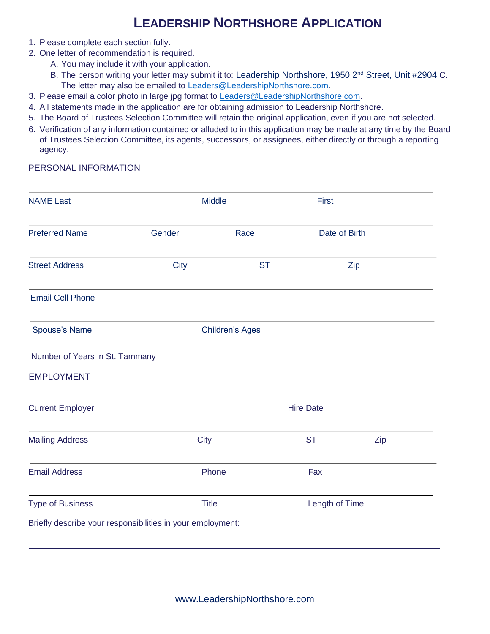## **LEADERSHIP NORTHSHORE APPLICATION**

- 1. Please complete each section fully.
- 2. One letter of recommendation is required.
	- A. You may include it with your application.
	- B. The person writing your letter may submit it to: Leadership Northshore, 1950 2<sup>nd</sup> Street, Unit #2904 C. The letter may also be emailed to [Leaders@LeadershipNorthshore.com.](https://d.docs.live.net/4de8e9bfdd9afee5/Leadership/Board%20Documents/Committees/Recruitment/Program%20Overview%20-%20Registration%20Process/Leaders%40LeadershipNorthshore.com)
- 3. Please email a color photo in large jpg format to Leaders@LeadershipNorthshore.com.
- 4. All statements made in the application are for obtaining admission to Leadership Northshore.
- 5. The Board of Trustees Selection Committee will retain the original application, even if you are not selected.
- 6. Verification of any information contained or alluded to in this application may be made at any time by the Board of Trustees Selection Committee, its agents, successors, or assignees, either directly or through a reporting agency.

### PERSONAL INFORMATION

| <b>NAME Last</b>                                           |                        | <b>Middle</b> |                |     |
|------------------------------------------------------------|------------------------|---------------|----------------|-----|
| <b>Preferred Name</b>                                      | Gender                 | Race          | Date of Birth  |     |
| <b>Street Address</b>                                      | <b>City</b>            | <b>ST</b>     |                | Zip |
| <b>Email Cell Phone</b>                                    |                        |               |                |     |
| Spouse's Name                                              | <b>Children's Ages</b> |               |                |     |
| Number of Years in St. Tammany                             |                        |               |                |     |
| <b>EMPLOYMENT</b>                                          |                        |               |                |     |
| <b>Current Employer</b>                                    | <b>Hire Date</b>       |               |                |     |
| <b>Mailing Address</b>                                     | <b>City</b>            |               | <b>ST</b>      | Zip |
| <b>Email Address</b>                                       |                        | Phone         | Fax            |     |
| <b>Type of Business</b>                                    |                        | <b>Title</b>  | Length of Time |     |
| Briefly describe your responsibilities in your employment: |                        |               |                |     |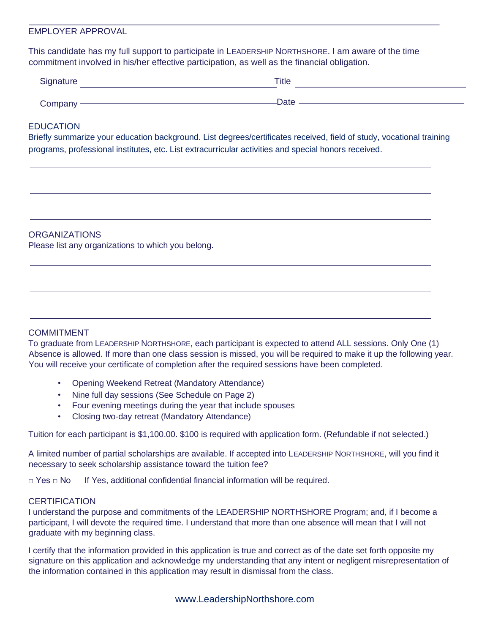### EMPLOYER APPROVAL

This candidate has my full support to participate in LEADERSHIP NORTHSHORE. I am aware of the time commitment involved in his/her effective participation, as well as the financial obligation.

| Signature | Title |
|-----------|-------|
| Company-  | Date  |

### EDUCATION

Briefly summarize your education background. List degrees/certificates received, field of study, vocational training programs, professional institutes, etc. List extracurricular activities and special honors received.

#### **ORGANIZATIONS**

Please list any organizations to which you belong.

### COMMITMENT

To graduate from LEADERSHIP NORTHSHORE, each participant is expected to attend ALL sessions. Only One (1) Absence is allowed. If more than one class session is missed, you will be required to make it up the following year. You will receive your certificate of completion after the required sessions have been completed.

- Opening Weekend Retreat (Mandatory Attendance)
- Nine full day sessions (See Schedule on Page 2)
- Four evening meetings during the year that include spouses
- Closing two-day retreat (Mandatory Attendance)

Tuition for each participant is \$1,100.00. \$100 is required with application form. (Refundable if not selected.)

A limited number of partial scholarships are available. If accepted into LEADERSHIP NORTHSHORE, will you find it necessary to seek scholarship assistance toward the tuition fee?

□ Yes □ No If Yes, additional confidential financial information will be required.

### **CERTIFICATION**

I understand the purpose and commitments of the LEADERSHIP NORTHSHORE Program; and, if I become a participant, I will devote the required time. I understand that more than one absence will mean that I will not graduate with my beginning class.

I certify that the information provided in this application is true and correct as of the date set forth opposite my signature on this application and acknowledge my understanding that any intent or negligent misrepresentation of the information contained in this application may result in dismissal from the class.